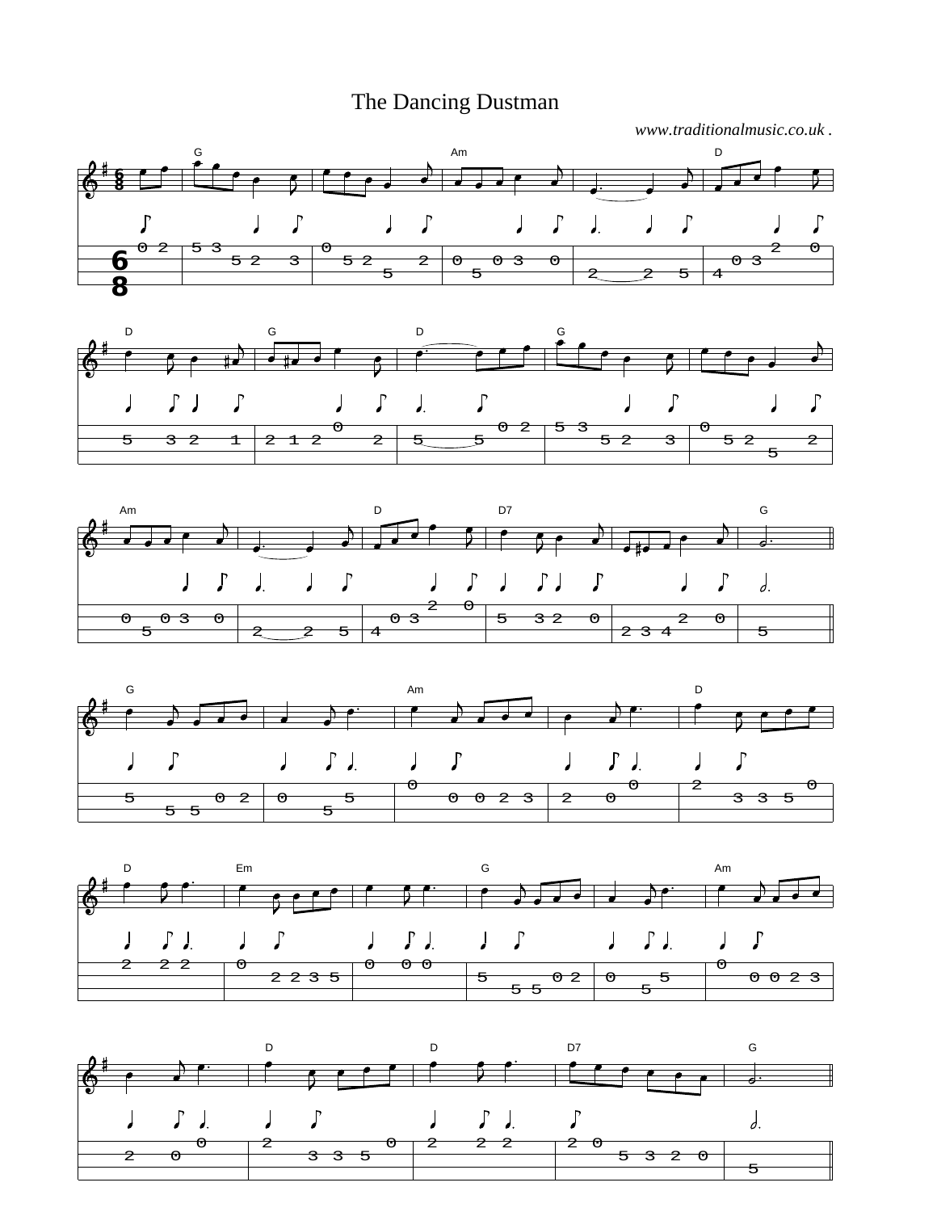## The Dancing Dustman

*www.traditionalmusic.co.uk .*